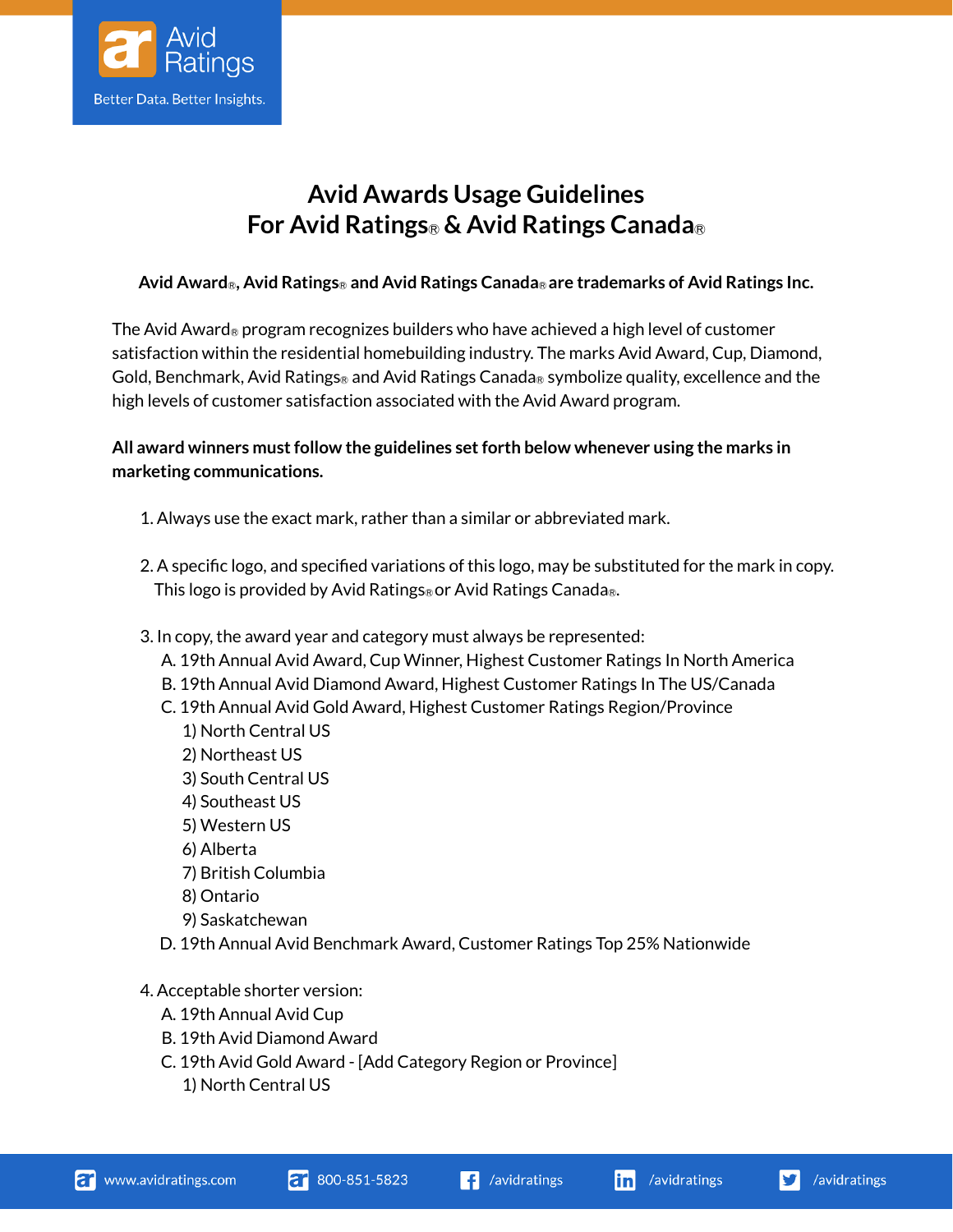

## **Avid Awards Usage Guidelines For Avid Ratings**Ⓡ **& Avid Ratings Canada**Ⓡ

## **Avid Award**Ⓡ**, Avid Ratings**Ⓡ **and Avid Ratings Canada**Ⓡ **are trademarks of Avid Ratings Inc.**

The Avid Award<sub>®</sub> program recognizes builders who have achieved a high level of customer satisfaction within the residential homebuilding industry. The marks Avid Award, Cup, Diamond, Gold, Benchmark, Avid Ratings<sub>®</sub> and Avid Ratings Canada<sub>®</sub> symbolize quality, excellence and the high levels of customer satisfaction associated with the Avid Award program.

## **All award winners must follow the guidelines set forth below whenever using the marks in marketing communications.**

- 1. Always use the exact mark, rather than a similar or abbreviated mark.
- 2. A specific logo, and specified variations of this logo, may be substituted for the mark in copy. This logo is provided by Avid Ratings® or Avid Ratings Canada®.
- 3. In copy, the award year and category must always be represented:
	- A. 19th Annual Avid Award, Cup Winner, Highest Customer Ratings In North America
	- B. 19th Annual Avid Diamond Award, Highest Customer Ratings In The US/Canada
	- C. 19th Annual Avid Gold Award, Highest Customer Ratings Region/Province
		- 1) North Central US
		- 2) Northeast US
		- 3) South Central US
		- 4) Southeast US
		- 5) Western US
		- 6) Alberta
		- 7) British Columbia
		- 8) Ontario
		- 9) Saskatchewan
	- D. 19th Annual Avid Benchmark Award, Customer Ratings Top 25% Nationwide
- 4. Acceptable shorter version:
	- A. 19th Annual Avid Cup
	- B. 19th Avid Diamond Award
	- C. 19th Avid Gold Award [Add Category Region or Province]
		- 1) North Central US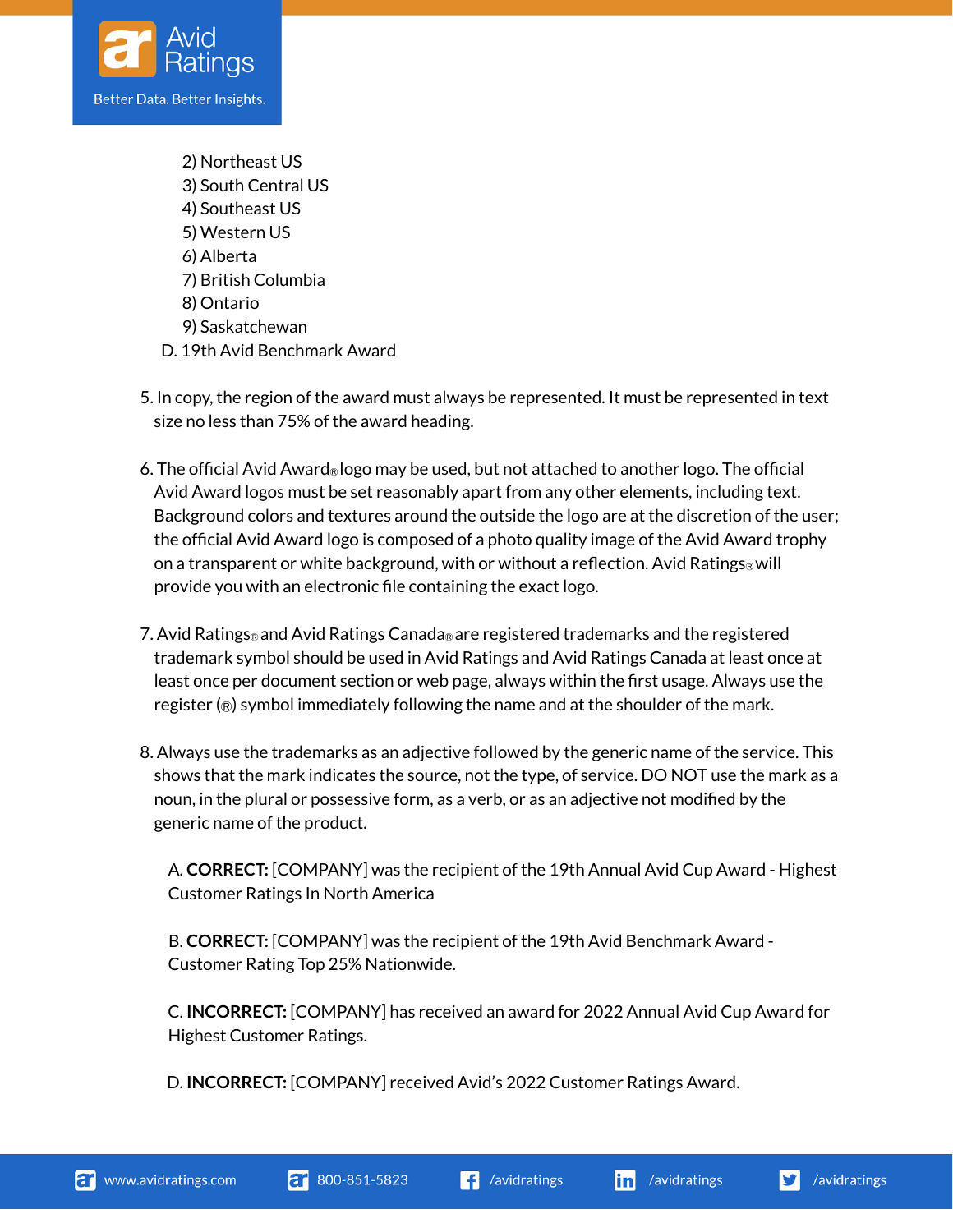

- 2) Northeast US 3) South Central US 4) Southeast US 5) Western US 6) Alberta 7) British Columbia 8) Ontario 9) Saskatchewan D. 19th Avid Benchmark Award
- 5. In copy, the region of the award must always be represented. It must be represented in text size no less than 75% of the award heading.
- 6. The official Avid Award<sub>®</sub> logo may be used, but not attached to another logo. The official Avid Award logos must be set reasonably apart from any other elements, including text. Background colors and textures around the outside the logo are at the discretion of the user; the official Avid Award logo is composed of a photo quality image of the Avid Award trophy on a transparent or white background, with or without a reflection. Avid Ratings<sub>®</sub> will provide you with an electronic file containing the exact logo.
- 7. Avid Ratings<sub>®</sub> and Avid Ratings Canada<sub>®</sub> are registered trademarks and the registered trademark symbol should be used in Avid Ratings and Avid Ratings Canada at least once at least once per document section or web page, always within the first usage. Always use the register  $(\circledast)$  symbol immediately following the name and at the shoulder of the mark.
- 8. Always use the trademarks as an adjective followed by the generic name of the service. This shows that the mark indicates the source, not the type, of service. DO NOT use the mark as a noun, in the plural or possessive form, as a verb, or as an adjective not modified by the generic name of the product.

A. **CORRECT:** [COMPANY] was the recipient of the 19th Annual Avid Cup Award - Highest Customer Ratings In North America

B. **CORRECT:** [COMPANY] was the recipient of the 19th Avid Benchmark Award - Customer Rating Top 25% Nationwide.

C. **INCORRECT:** [COMPANY] has received an award for 2022 Annual Avid Cup Award for Highest Customer Ratings.

D. **INCORRECT:** [COMPANY] received Avid's 2022 Customer Ratings Award.